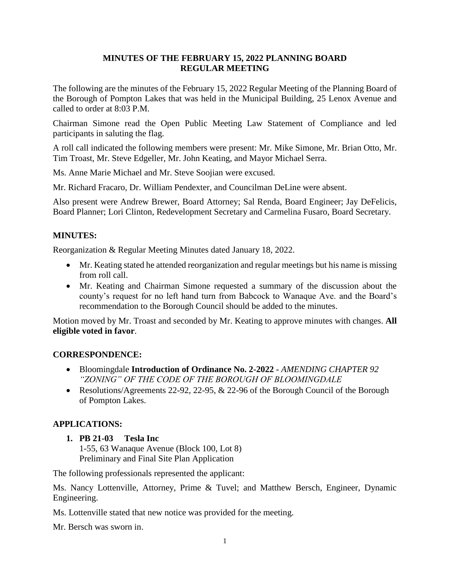## **MINUTES OF THE FEBRUARY 15, 2022 PLANNING BOARD REGULAR MEETING**

The following are the minutes of the February 15, 2022 Regular Meeting of the Planning Board of the Borough of Pompton Lakes that was held in the Municipal Building, 25 Lenox Avenue and called to order at 8:03 P.M.

Chairman Simone read the Open Public Meeting Law Statement of Compliance and led participants in saluting the flag.

A roll call indicated the following members were present: Mr. Mike Simone, Mr. Brian Otto, Mr. Tim Troast, Mr. Steve Edgeller, Mr. John Keating, and Mayor Michael Serra.

Ms. Anne Marie Michael and Mr. Steve Soojian were excused.

Mr. Richard Fracaro, Dr. William Pendexter, and Councilman DeLine were absent.

Also present were Andrew Brewer, Board Attorney; Sal Renda, Board Engineer; Jay DeFelicis, Board Planner; Lori Clinton, Redevelopment Secretary and Carmelina Fusaro, Board Secretary.

#### **MINUTES:**

Reorganization & Regular Meeting Minutes dated January 18, 2022.

- Mr. Keating stated he attended reorganization and regular meetings but his name is missing from roll call.
- Mr. Keating and Chairman Simone requested a summary of the discussion about the county's request for no left hand turn from Babcock to Wanaque Ave. and the Board's recommendation to the Borough Council should be added to the minutes.

Motion moved by Mr. Troast and seconded by Mr. Keating to approve minutes with changes. **All eligible voted in favor**.

#### **CORRESPONDENCE:**

- Bloomingdale **Introduction of Ordinance No. 2-2022 -** *AMENDING CHAPTER 92 "ZONING" OF THE CODE OF THE BOROUGH OF BLOOMINGDALE*
- Resolutions/Agreements 22-92, 22-95,  $& 22$ -96 of the Borough Council of the Borough of Pompton Lakes.

# **APPLICATIONS:**

**1. PB 21-03 Tesla Inc** 1-55, 63 Wanaque Avenue (Block 100, Lot 8) Preliminary and Final Site Plan Application

The following professionals represented the applicant:

Ms. Nancy Lottenville, Attorney, Prime & Tuvel; and Matthew Bersch, Engineer, Dynamic Engineering.

Ms. Lottenville stated that new notice was provided for the meeting.

Mr. Bersch was sworn in.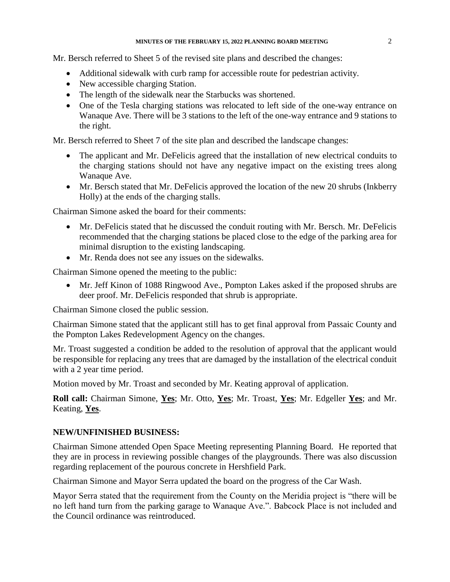Mr. Bersch referred to Sheet 5 of the revised site plans and described the changes:

- Additional sidewalk with curb ramp for accessible route for pedestrian activity.
- New accessible charging Station.
- The length of the sidewalk near the Starbucks was shortened.
- One of the Tesla charging stations was relocated to left side of the one-way entrance on Wanaque Ave. There will be 3 stations to the left of the one-way entrance and 9 stations to the right.

Mr. Bersch referred to Sheet 7 of the site plan and described the landscape changes:

- The applicant and Mr. DeFelicis agreed that the installation of new electrical conduits to the charging stations should not have any negative impact on the existing trees along Wanaque Ave.
- Mr. Bersch stated that Mr. DeFelicis approved the location of the new 20 shrubs (Inkberry Holly) at the ends of the charging stalls.

Chairman Simone asked the board for their comments:

- Mr. DeFelicis stated that he discussed the conduit routing with Mr. Bersch. Mr. DeFelicis recommended that the charging stations be placed close to the edge of the parking area for minimal disruption to the existing landscaping.
- Mr. Renda does not see any issues on the sidewalks.

Chairman Simone opened the meeting to the public:

 Mr. Jeff Kinon of 1088 Ringwood Ave., Pompton Lakes asked if the proposed shrubs are deer proof. Mr. DeFelicis responded that shrub is appropriate.

Chairman Simone closed the public session.

Chairman Simone stated that the applicant still has to get final approval from Passaic County and the Pompton Lakes Redevelopment Agency on the changes.

Mr. Troast suggested a condition be added to the resolution of approval that the applicant would be responsible for replacing any trees that are damaged by the installation of the electrical conduit with a 2 year time period.

Motion moved by Mr. Troast and seconded by Mr. Keating approval of application.

**Roll call:** Chairman Simone, **Yes**; Mr. Otto, **Yes**; Mr. Troast, **Yes**; Mr. Edgeller **Yes**; and Mr. Keating, **Yes**.

# **NEW/UNFINISHED BUSINESS:**

Chairman Simone attended Open Space Meeting representing Planning Board. He reported that they are in process in reviewing possible changes of the playgrounds. There was also discussion regarding replacement of the pourous concrete in Hershfield Park.

Chairman Simone and Mayor Serra updated the board on the progress of the Car Wash.

Mayor Serra stated that the requirement from the County on the Meridia project is "there will be no left hand turn from the parking garage to Wanaque Ave.". Babcock Place is not included and the Council ordinance was reintroduced.